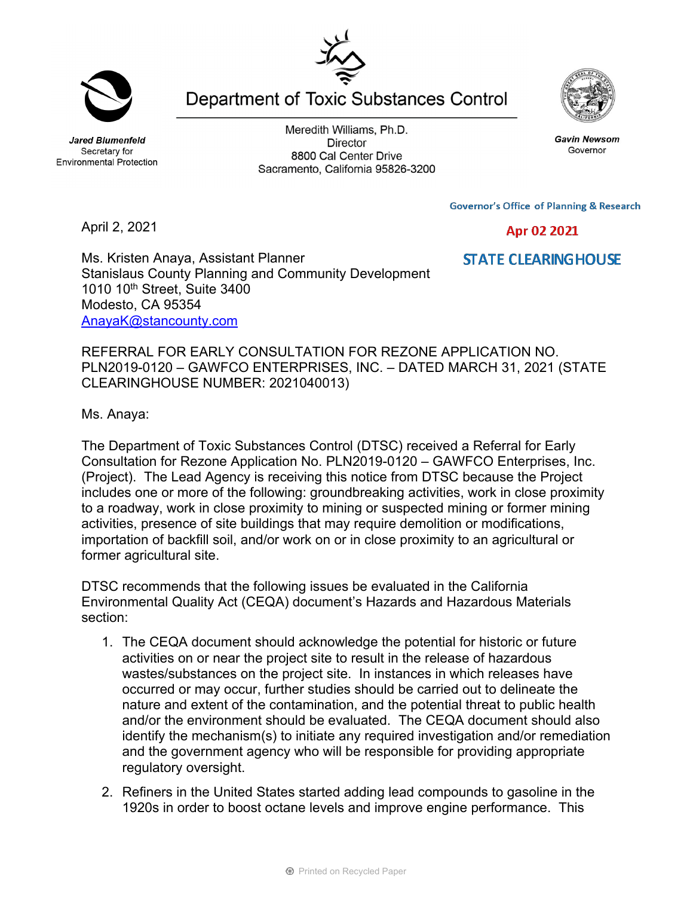**Jared Blumenfeld** Secretary for

Meredith Williams, Ph.D. **Director** 8800 Cal Center Drive Sacramento, California 95826-3200

**Governor's Office of Planning & Research** 

Apr 02 2021

**STATE CLEARINGHOUSE** 

April 2, 2021

Ms. Kristen Anaya, Assistant Planner Stanislaus County Planning and Community Development 1010 10th Street, Suite 3400 Modesto, CA 95354 AnayaK@stancounty.com

REFERRAL FOR EARLY CONSULTATION FOR REZONE APPLICATION NO. PLN2019-0120 – GAWFCO ENTERPRISES, INC. – DATED MARCH 31, 2021 (STATE CLEARINGHOUSE NUMBER: 2021040013)

Ms. Anaya:

The Department of Toxic Substances Control (DTSC) received a Referral for Early Consultation for Rezone Application No. PLN2019-0120 – GAWFCO Enterprises, Inc. (Project). The Lead Agency is receiving this notice from DTSC because the Project includes one or more of the following: groundbreaking activities, work in close proximity to a roadway, work in close proximity to mining or suspected mining or former mining activities, presence of site buildings that may require demolition or modifications, importation of backfill soil, and/or work on or in close proximity to an agricultural or former agricultural site.

DTSC recommends that the following issues be evaluated in the California Environmental Quality Act (CEQA) document's Hazards and Hazardous Materials section:

- 1. The CEQA document should acknowledge the potential for historic or future activities on or near the project site to result in the release of hazardous wastes/substances on the project site. In instances in which releases have occurred or may occur, further studies should be carried out to delineate the nature and extent of the contamination, and the potential threat to public health and/or the environment should be evaluated. The CEQA document should also identify the mechanism(s) to initiate any required investigation and/or remediation and the government agency who will be responsible for providing appropriate regulatory oversight.
- 2. Refiners in the United States started adding lead compounds to gasoline in the 1920s in order to boost octane levels and improve engine performance. This



**Gavin Newsom** 

Governor



**Environmental Protection** 

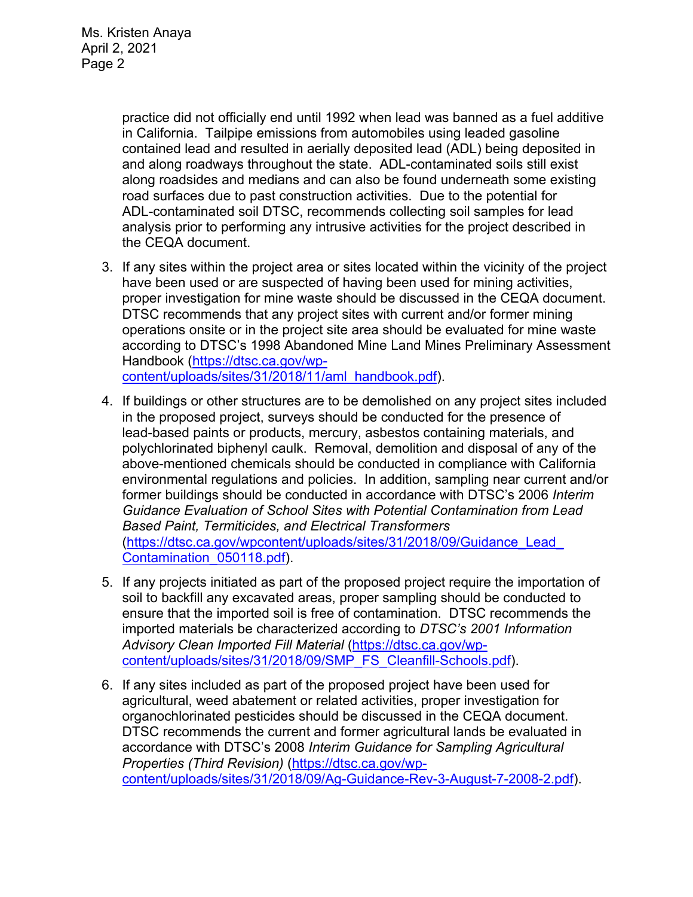practice did not officially end until 1992 when lead was banned as a fuel additive in California. Tailpipe emissions from automobiles using leaded gasoline contained lead and resulted in aerially deposited lead (ADL) being deposited in and along roadways throughout the state. ADL-contaminated soils still exist along roadsides and medians and can also be found underneath some existing road surfaces due to past construction activities. Due to the potential for ADL-contaminated soil DTSC, recommends collecting soil samples for lead analysis prior to performing any intrusive activities for the project described in the CEQA document.

- 3. If any sites within the project area or sites located within the vicinity of the project have been used or are suspected of having been used for mining activities, proper investigation for mine waste should be discussed in the CEQA document. DTSC recommends that any project sites with current and/or former mining operations onsite or in the project site area should be evaluated for mine waste according to DTSC's 1998 Abandoned Mine Land Mines Preliminary Assessment Handbook (https://dtsc.ca.gov/wpcontent/uploads/sites/31/2018/11/aml\_handbook.pdf).
- 4. If buildings or other structures are to be demolished on any project sites included in the proposed project, surveys should be conducted for the presence of lead-based paints or products, mercury, asbestos containing materials, and polychlorinated biphenyl caulk. Removal, demolition and disposal of any of the above-mentioned chemicals should be conducted in compliance with California environmental regulations and policies. In addition, sampling near current and/or former buildings should be conducted in accordance with DTSC's 2006 *Interim Guidance Evaluation of School Sites with Potential Contamination from Lead Based Paint, Termiticides, and Electrical Transformers*  (https://dtsc.ca.gov/wpcontent/uploads/sites/31/2018/09/Guidance\_Lead\_ Contamination\_050118.pdf).
- 5. If any projects initiated as part of the proposed project require the importation of soil to backfill any excavated areas, proper sampling should be conducted to ensure that the imported soil is free of contamination. DTSC recommends the imported materials be characterized according to *DTSC's 2001 Information Advisory Clean Imported Fill Material* (https://dtsc.ca.gov/wpcontent/uploads/sites/31/2018/09/SMP\_FS\_Cleanfill-Schools.pdf).
- 6. If any sites included as part of the proposed project have been used for agricultural, weed abatement or related activities, proper investigation for organochlorinated pesticides should be discussed in the CEQA document. DTSC recommends the current and former agricultural lands be evaluated in accordance with DTSC's 2008 *Interim Guidance for Sampling Agricultural Properties (Third Revision)* (https://dtsc.ca.gov/wpcontent/uploads/sites/31/2018/09/Ag-Guidance-Rev-3-August-7-2008-2.pdf).